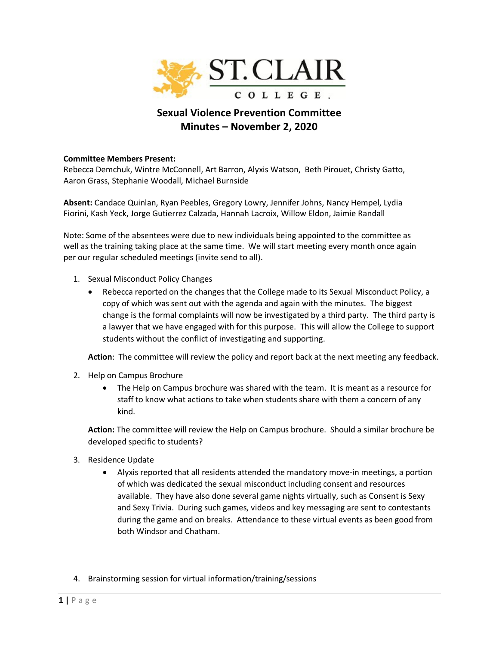

## **Sexual Violence Prevention Committee Minutes – November 2, 2020**

## **Committee Members Present:**

Rebecca Demchuk, Wintre McConnell, Art Barron, Alyxis Watson, Beth Pirouet, Christy Gatto, Aaron Grass, Stephanie Woodall, Michael Burnside

**Absent:** Candace Quinlan, Ryan Peebles, Gregory Lowry, Jennifer Johns, Nancy Hempel, Lydia Fiorini, Kash Yeck, Jorge Gutierrez Calzada, Hannah Lacroix, Willow Eldon, Jaimie Randall

Note: Some of the absentees were due to new individuals being appointed to the committee as well as the training taking place at the same time. We will start meeting every month once again per our regular scheduled meetings (invite send to all).

- 1. Sexual Misconduct Policy Changes
	- Rebecca reported on the changes that the College made to its Sexual Misconduct Policy, a copy of which was sent out with the agenda and again with the minutes. The biggest change is the formal complaints will now be investigated by a third party. The third party is a lawyer that we have engaged with for this purpose. This will allow the College to support students without the conflict of investigating and supporting.

**Action**: The committee will review the policy and report back at the next meeting any feedback.

- 2. Help on Campus Brochure
	- The Help on Campus brochure was shared with the team. It is meant as a resource for staff to know what actions to take when students share with them a concern of any kind.

**Action:** The committee will review the Help on Campus brochure. Should a similar brochure be developed specific to students?

- 3. Residence Update
	- Alyxis reported that all residents attended the mandatory move-in meetings, a portion of which was dedicated the sexual misconduct including consent and resources available. They have also done several game nights virtually, such as Consent is Sexy and Sexy Trivia. During such games, videos and key messaging are sent to contestants during the game and on breaks. Attendance to these virtual events as been good from both Windsor and Chatham.
- 4. Brainstorming session for virtual information/training/sessions